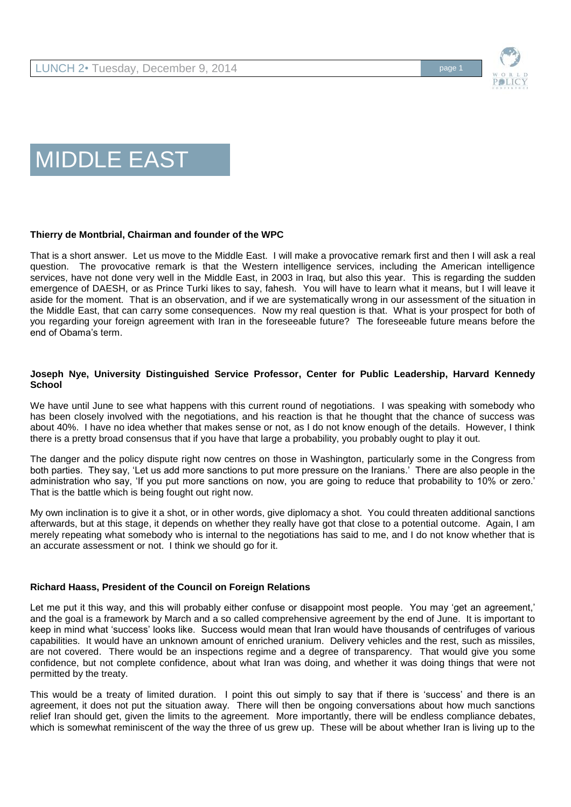

# MIDDLE EAST

# **Thierry de Montbrial, Chairman and founder of the WPC**

That is a short answer. Let us move to the Middle East. I will make a provocative remark first and then I will ask a real question. The provocative remark is that the Western intelligence services, including the American intelligence services, have not done very well in the Middle East, in 2003 in Iraq, but also this year. This is regarding the sudden emergence of DAESH, or as Prince Turki likes to say, fahesh. You will have to learn what it means, but I will leave it aside for the moment. That is an observation, and if we are systematically wrong in our assessment of the situation in the Middle East, that can carry some consequences. Now my real question is that. What is your prospect for both of you regarding your foreign agreement with Iran in the foreseeable future? The foreseeable future means before the end of Obama's term.

## **Joseph Nye, University Distinguished Service Professor, Center for Public Leadership, Harvard Kennedy School**

We have until June to see what happens with this current round of negotiations. I was speaking with somebody who has been closely involved with the negotiations, and his reaction is that he thought that the chance of success was about 40%. I have no idea whether that makes sense or not, as I do not know enough of the details. However, I think there is a pretty broad consensus that if you have that large a probability, you probably ought to play it out.

The danger and the policy dispute right now centres on those in Washington, particularly some in the Congress from both parties. They say, 'Let us add more sanctions to put more pressure on the Iranians.' There are also people in the administration who say, 'If you put more sanctions on now, you are going to reduce that probability to 10% or zero.' That is the battle which is being fought out right now.

My own inclination is to give it a shot, or in other words, give diplomacy a shot. You could threaten additional sanctions afterwards, but at this stage, it depends on whether they really have got that close to a potential outcome. Again, I am merely repeating what somebody who is internal to the negotiations has said to me, and I do not know whether that is an accurate assessment or not. I think we should go for it.

# **Richard Haass, President of the Council on Foreign Relations**

Let me put it this way, and this will probably either confuse or disappoint most people. You may 'get an agreement,' and the goal is a framework by March and a so called comprehensive agreement by the end of June. It is important to keep in mind what 'success' looks like. Success would mean that Iran would have thousands of centrifuges of various capabilities. It would have an unknown amount of enriched uranium. Delivery vehicles and the rest, such as missiles, are not covered. There would be an inspections regime and a degree of transparency. That would give you some confidence, but not complete confidence, about what Iran was doing, and whether it was doing things that were not permitted by the treaty.

This would be a treaty of limited duration. I point this out simply to say that if there is 'success' and there is an agreement, it does not put the situation away. There will then be ongoing conversations about how much sanctions relief Iran should get, given the limits to the agreement. More importantly, there will be endless compliance debates, which is somewhat reminiscent of the way the three of us grew up. These will be about whether Iran is living up to the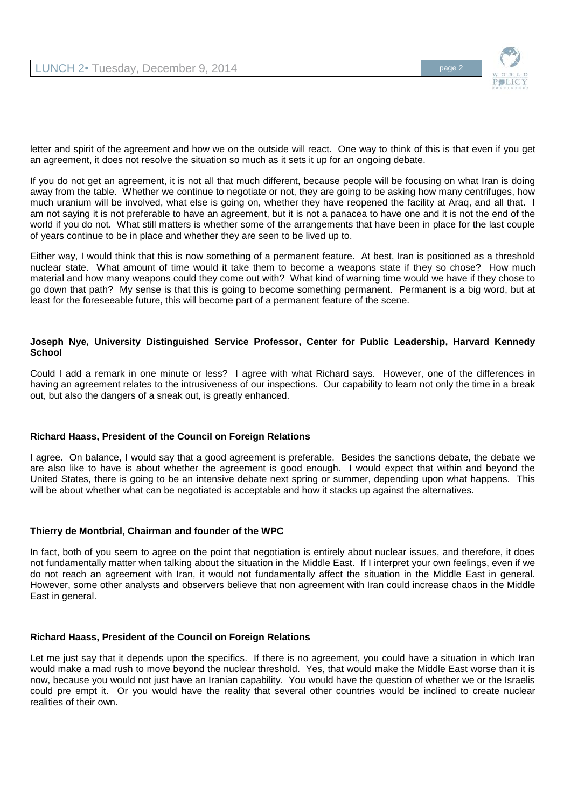

letter and spirit of the agreement and how we on the outside will react. One way to think of this is that even if you get an agreement, it does not resolve the situation so much as it sets it up for an ongoing debate.

If you do not get an agreement, it is not all that much different, because people will be focusing on what Iran is doing away from the table. Whether we continue to negotiate or not, they are going to be asking how many centrifuges, how much uranium will be involved, what else is going on, whether they have reopened the facility at Araq, and all that. I am not saying it is not preferable to have an agreement, but it is not a panacea to have one and it is not the end of the world if you do not. What still matters is whether some of the arrangements that have been in place for the last couple of years continue to be in place and whether they are seen to be lived up to.

Either way, I would think that this is now something of a permanent feature. At best, Iran is positioned as a threshold nuclear state. What amount of time would it take them to become a weapons state if they so chose? How much material and how many weapons could they come out with? What kind of warning time would we have if they chose to go down that path? My sense is that this is going to become something permanent. Permanent is a big word, but at least for the foreseeable future, this will become part of a permanent feature of the scene.

## **Joseph Nye, University Distinguished Service Professor, Center for Public Leadership, Harvard Kennedy School**

Could I add a remark in one minute or less? I agree with what Richard says. However, one of the differences in having an agreement relates to the intrusiveness of our inspections. Our capability to learn not only the time in a break out, but also the dangers of a sneak out, is greatly enhanced.

# **Richard Haass, President of the Council on Foreign Relations**

I agree. On balance, I would say that a good agreement is preferable. Besides the sanctions debate, the debate we are also like to have is about whether the agreement is good enough. I would expect that within and beyond the United States, there is going to be an intensive debate next spring or summer, depending upon what happens. This will be about whether what can be negotiated is acceptable and how it stacks up against the alternatives.

### **Thierry de Montbrial, Chairman and founder of the WPC**

In fact, both of you seem to agree on the point that negotiation is entirely about nuclear issues, and therefore, it does not fundamentally matter when talking about the situation in the Middle East. If I interpret your own feelings, even if we do not reach an agreement with Iran, it would not fundamentally affect the situation in the Middle East in general. However, some other analysts and observers believe that non agreement with Iran could increase chaos in the Middle East in general.

### **Richard Haass, President of the Council on Foreign Relations**

Let me just say that it depends upon the specifics. If there is no agreement, you could have a situation in which Iran would make a mad rush to move beyond the nuclear threshold. Yes, that would make the Middle East worse than it is now, because you would not just have an Iranian capability. You would have the question of whether we or the Israelis could pre empt it. Or you would have the reality that several other countries would be inclined to create nuclear realities of their own.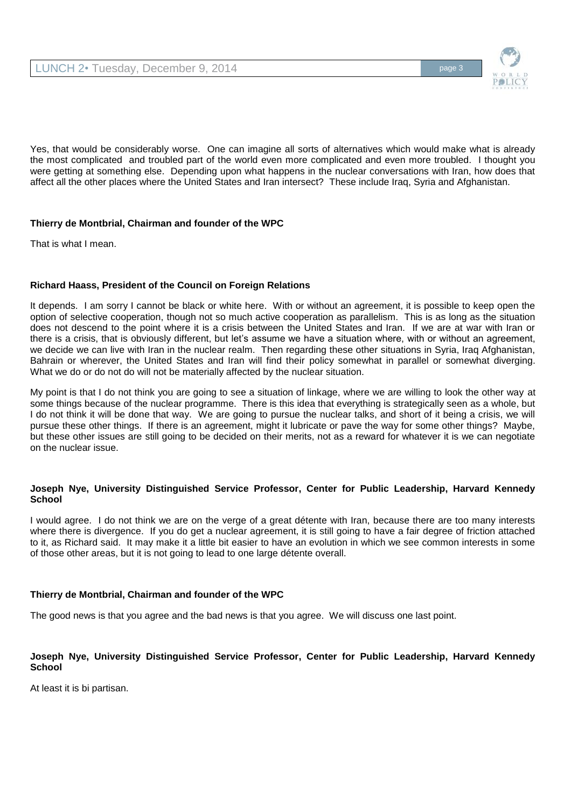

Yes, that would be considerably worse. One can imagine all sorts of alternatives which would make what is already the most complicated and troubled part of the world even more complicated and even more troubled. I thought you were getting at something else. Depending upon what happens in the nuclear conversations with Iran, how does that affect all the other places where the United States and Iran intersect? These include Iraq, Syria and Afghanistan.

# **Thierry de Montbrial, Chairman and founder of the WPC**

That is what I mean.

## **Richard Haass, President of the Council on Foreign Relations**

It depends. I am sorry I cannot be black or white here. With or without an agreement, it is possible to keep open the option of selective cooperation, though not so much active cooperation as parallelism. This is as long as the situation does not descend to the point where it is a crisis between the United States and Iran. If we are at war with Iran or there is a crisis, that is obviously different, but let's assume we have a situation where, with or without an agreement, we decide we can live with Iran in the nuclear realm. Then regarding these other situations in Syria, Iraq Afghanistan, Bahrain or wherever, the United States and Iran will find their policy somewhat in parallel or somewhat diverging. What we do or do not do will not be materially affected by the nuclear situation.

My point is that I do not think you are going to see a situation of linkage, where we are willing to look the other way at some things because of the nuclear programme. There is this idea that everything is strategically seen as a whole, but I do not think it will be done that way. We are going to pursue the nuclear talks, and short of it being a crisis, we will pursue these other things. If there is an agreement, might it lubricate or pave the way for some other things? Maybe, but these other issues are still going to be decided on their merits, not as a reward for whatever it is we can negotiate on the nuclear issue.

### **Joseph Nye, University Distinguished Service Professor, Center for Public Leadership, Harvard Kennedy School**

I would agree. I do not think we are on the verge of a great détente with Iran, because there are too many interests where there is divergence. If you do get a nuclear agreement, it is still going to have a fair degree of friction attached to it, as Richard said. It may make it a little bit easier to have an evolution in which we see common interests in some of those other areas, but it is not going to lead to one large détente overall.

### **Thierry de Montbrial, Chairman and founder of the WPC**

The good news is that you agree and the bad news is that you agree. We will discuss one last point.

## **Joseph Nye, University Distinguished Service Professor, Center for Public Leadership, Harvard Kennedy School**

At least it is bi partisan.